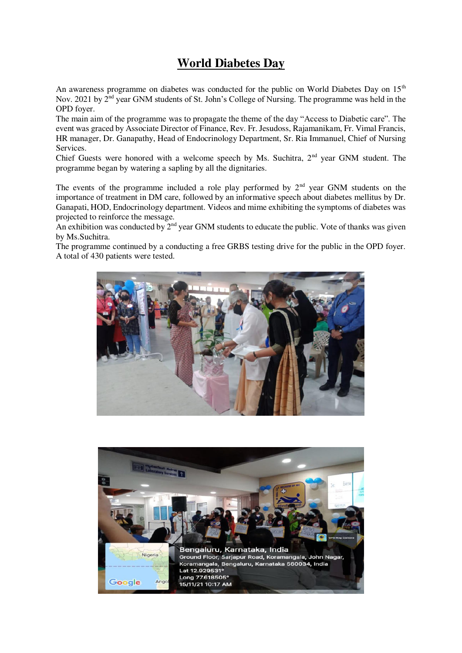## **World Diabetes Day**

An awareness programme on diabetes was conducted for the public on World Diabetes Day on  $15<sup>th</sup>$ Nov. 2021 by  $2<sup>nd</sup>$  year GNM students of St. John's College of Nursing. The programme was held in the OPD foyer.

The main aim of the programme was to propagate the theme of the day "Access to Diabetic care". The event was graced by Associate Director of Finance, Rev. Fr. Jesudoss, Rajamanikam, Fr. Vimal Francis, HR manager, Dr. Ganapathy, Head of Endocrinology Department, Sr. Ria Immanuel, Chief of Nursing Services.

Chief Guests were honored with a welcome speech by Ms. Suchitra, 2<sup>nd</sup> year GNM student. The programme began by watering a sapling by all the dignitaries.

The events of the programme included a role play performed by  $2<sup>nd</sup>$  year GNM students on the importance of treatment in DM care, followed by an informative speech about diabetes mellitus by Dr. Ganapati, HOD, Endocrinology department. Videos and mime exhibiting the symptoms of diabetes was projected to reinforce the message.

An exhibition was conducted by  $2^{nd}$  year GNM students to educate the public. Vote of thanks was given by Ms.Suchitra.

The programme continued by a conducting a free GRBS testing drive for the public in the OPD foyer. A total of 430 patients were tested.